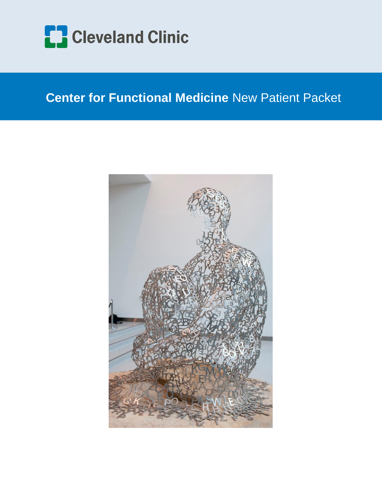

## **Center for Functional Medicine** New Patient Packet

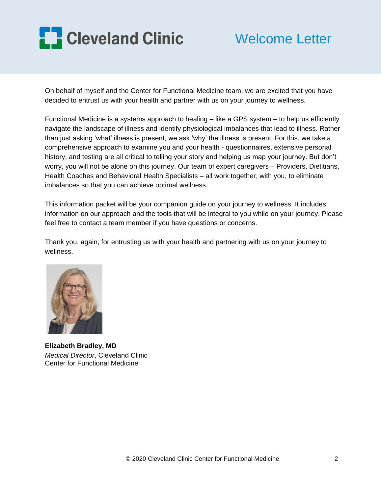

## Welcome Letter

On behalf of myself and the Center for Functional Medicine team, we are excited that you have decided to entrust us with your health and partner with us on your journey to wellness.

Functional Medicine is a systems approach to healing – like a GPS system – to help us efficiently navigate the landscape of illness and identify physiological imbalances that lead to illness. Rather than just asking 'what' illness is present, we ask 'why' the illness is present. For this, we take a comprehensive approach to examine you and your health - questionnaires, extensive personal history, and testing are all critical to telling your story and helping us map your journey. But don't worry, you will not be alone on this journey. Our team of expert caregivers – Providers, Dietitians, Health Coaches and Behavioral Health Specialists – all work together, with you, to eliminate imbalances so that you can achieve optimal wellness.

This information packet will be your companion guide on your journey to wellness. It includes information on our approach and the tools that will be integral to you while on your journey. Please feel free to contact a team member if you have questions or concerns.

Thank you, again, for entrusting us with your health and partnering with us on your journey to wellness.



**Elizabeth Bradley, MD**  *Medical Director*, Cleveland Clinic Center for Functional Medicine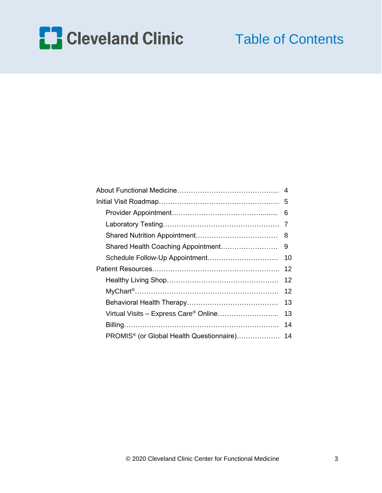

# Table of Contents

|                                                      | 6   |
|------------------------------------------------------|-----|
|                                                      | 7   |
|                                                      | - 8 |
| Shared Health Coaching Appointment                   | 9   |
| Schedule Follow-Up Appointment                       | 10  |
|                                                      | 12  |
|                                                      | 12  |
|                                                      | 12  |
|                                                      | 13  |
| Virtual Visits - Express Care® Online                | 13  |
|                                                      | 14  |
| PROMIS <sup>®</sup> (or Global Health Questionnaire) | 14  |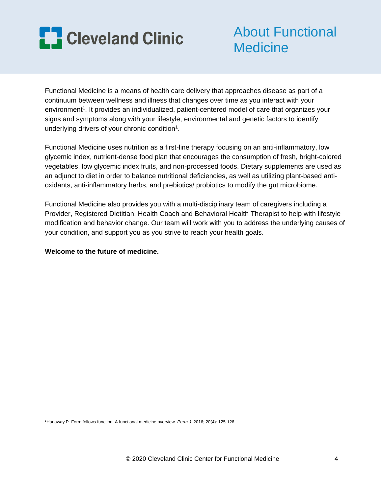

# About Functional **Medicine**

Functional Medicine is a means of health care delivery that approaches disease as part of a continuum between wellness and illness that changes over time as you interact with your environment<sup>1</sup>. It provides an individualized, patient-centered model of care that organizes your signs and symptoms along with your lifestyle, environmental and genetic factors to identify underlying drivers of your chronic condition<sup>1</sup>.

Functional Medicine uses nutrition as a first-line therapy focusing on an anti-inflammatory, low glycemic index, nutrient-dense food plan that encourages the consumption of fresh, bright-colored vegetables, low glycemic index fruits, and non-processed foods. Dietary supplements are used as an adjunct to diet in order to balance nutritional deficiencies, as well as utilizing plant-based antioxidants, anti-inflammatory herbs, and prebiotics/ probiotics to modify the gut microbiome.

Functional Medicine also provides you with a multi-disciplinary team of caregivers including a Provider, Registered Dietitian, Health Coach and Behavioral Health Therapist to help with lifestyle modification and behavior change. Our team will work with you to address the underlying causes of your condition, and support you as you strive to reach your health goals.

### **Welcome to the future of medicine.**

<sup>1</sup>Hanaway P. Form follows function: A functional medicine overview. *Perm J*. 2016; 20(4): 125-126.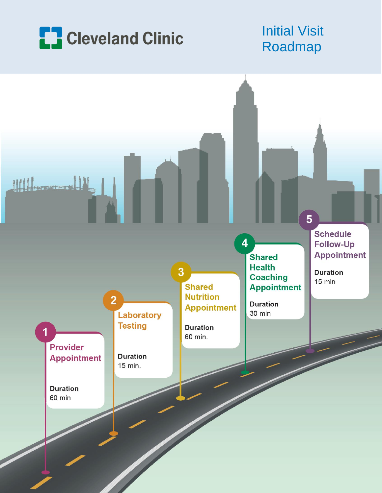

# Initial Visit Roadmap

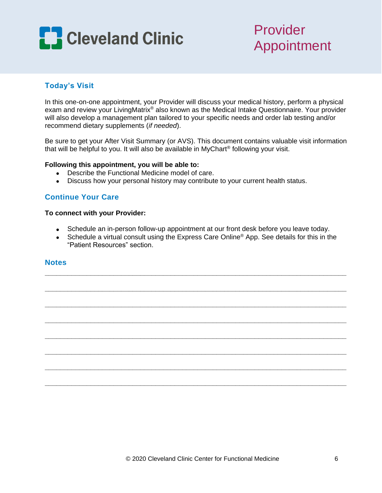

## Provider Appointment

## **Today's Visit**

In this one-on-one appointment, your Provider will discuss your medical history, perform a physical exam and review your LivingMatrix® also known as the Medical Intake Questionnaire. Your provider will also develop a management plan tailored to your specific needs and order lab testing and/or recommend dietary supplements (*if needed*).

Be sure to get your After Visit Summary (or AVS). This document contains valuable visit information that will be helpful to you. It will also be available in MyChart® following your visit.

### **Following this appointment, you will be able to:**

- Describe the Functional Medicine model of care.
- Discuss how your personal history may contribute to your current health status.

## **Continue Your Care**

### **To connect with your Provider:**

- Schedule an in-person follow-up appointment at our front desk before you leave today.
- Schedule a virtual consult using the Express Care Online<sup>®</sup> App. See details for this in the "Patient Resources" section.

**\_\_\_\_\_\_\_\_\_\_\_\_\_\_\_\_\_\_\_\_\_\_\_\_\_\_\_\_\_\_\_\_\_\_\_\_\_\_\_\_\_\_\_\_\_\_\_\_\_\_\_\_\_\_\_\_\_\_\_\_\_\_\_\_\_\_\_\_\_\_\_\_\_\_\_\_\_\_\_**

**\_\_\_\_\_\_\_\_\_\_\_\_\_\_\_\_\_\_\_\_\_\_\_\_\_\_\_\_\_\_\_\_\_\_\_\_\_\_\_\_\_\_\_\_\_\_\_\_\_\_\_\_\_\_\_\_\_\_\_\_\_\_\_\_\_\_\_\_\_\_\_\_\_\_\_\_\_\_\_**

**\_\_\_\_\_\_\_\_\_\_\_\_\_\_\_\_\_\_\_\_\_\_\_\_\_\_\_\_\_\_\_\_\_\_\_\_\_\_\_\_\_\_\_\_\_\_\_\_\_\_\_\_\_\_\_\_\_\_\_\_\_\_\_\_\_\_\_\_\_\_\_\_\_\_\_\_\_\_\_**

**\_\_\_\_\_\_\_\_\_\_\_\_\_\_\_\_\_\_\_\_\_\_\_\_\_\_\_\_\_\_\_\_\_\_\_\_\_\_\_\_\_\_\_\_\_\_\_\_\_\_\_\_\_\_\_\_\_\_\_\_\_\_\_\_\_\_\_\_\_\_\_\_\_\_\_\_\_\_\_**

**\_\_\_\_\_\_\_\_\_\_\_\_\_\_\_\_\_\_\_\_\_\_\_\_\_\_\_\_\_\_\_\_\_\_\_\_\_\_\_\_\_\_\_\_\_\_\_\_\_\_\_\_\_\_\_\_\_\_\_\_\_\_\_\_\_\_\_\_\_\_\_\_\_\_\_\_\_\_\_**

**\_\_\_\_\_\_\_\_\_\_\_\_\_\_\_\_\_\_\_\_\_\_\_\_\_\_\_\_\_\_\_\_\_\_\_\_\_\_\_\_\_\_\_\_\_\_\_\_\_\_\_\_\_\_\_\_\_\_\_\_\_\_\_\_\_\_\_\_\_\_\_\_\_\_\_\_\_\_\_**

**\_\_\_\_\_\_\_\_\_\_\_\_\_\_\_\_\_\_\_\_\_\_\_\_\_\_\_\_\_\_\_\_\_\_\_\_\_\_\_\_\_\_\_\_\_\_\_\_\_\_\_\_\_\_\_\_\_\_\_\_\_\_\_\_\_\_\_\_\_\_\_\_\_\_\_\_\_\_\_**

**\_\_\_\_\_\_\_\_\_\_\_\_\_\_\_\_\_\_\_\_\_\_\_\_\_\_\_\_\_\_\_\_\_\_\_\_\_\_\_\_\_\_\_\_\_\_\_\_\_\_\_\_\_\_\_\_\_\_\_\_\_\_\_\_\_\_\_\_\_\_\_\_\_\_\_\_\_\_\_**

### **Notes**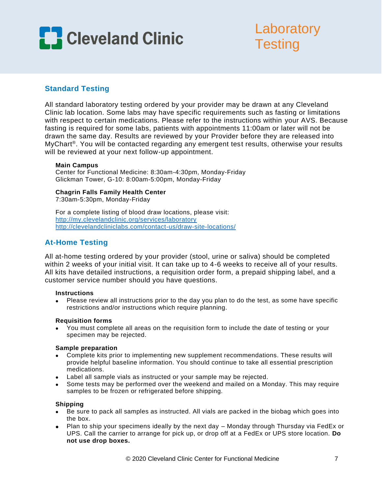

# **Laboratory Testing**

## **Standard Testing**

All standard laboratory testing ordered by your provider may be drawn at any Cleveland Clinic lab location. Some labs may have specific requirements such as fasting or limitations with respect to certain medications. Please refer to the instructions within your AVS. Because fasting is required for some labs, patients with appointments 11:00am or later will not be drawn the same day. Results are reviewed by your Provider before they are released into MyChart<sup>®</sup>. You will be contacted regarding any emergent test results, otherwise your results will be reviewed at your next follow-up appointment.

### **Main Campus**

Center for Functional Medicine: 8:30am-4:30pm, Monday-Friday Glickman Tower, G-10: 8:00am-5:00pm, Monday-Friday

### **Chagrin Falls Family Health Center**

7:30am-5:30pm, Monday-Friday

For a complete listing of blood draw locations, please visit: <http://my.clevelandclinic.org/services/laboratory> <http://clevelandcliniclabs.com/contact-us/draw-site-locations/>

## **At-Home Testing**

All at-home testing ordered by your provider (stool, urine or saliva) should be completed within 2 weeks of your initial visit. It can take up to 4-6 weeks to receive all of your results. All kits have detailed instructions, a requisition order form, a prepaid shipping label, and a customer service number should you have questions.

### **Instructions**

 Please review all instructions prior to the day you plan to do the test, as some have specific restrictions and/or instructions which require planning.

### **Requisition forms**

 You must complete all areas on the requisition form to include the date of testing or your specimen may be rejected.

### **Sample preparation**

- Complete kits prior to implementing new supplement recommendations. These results will provide helpful baseline information. You should continue to take all essential prescription medications.
- Label all sample vials as instructed or your sample may be rejected.
- Some tests may be performed over the weekend and mailed on a Monday. This may require samples to be frozen or refrigerated before shipping.

### **Shipping**

- Be sure to pack all samples as instructed. All vials are packed in the biobag which goes into the box.
- Plan to ship your specimens ideally by the next day Monday through Thursday via FedEx or UPS. Call the carrier to arrange for pick up, or drop off at a FedEx or UPS store location. **Do not use drop boxes.**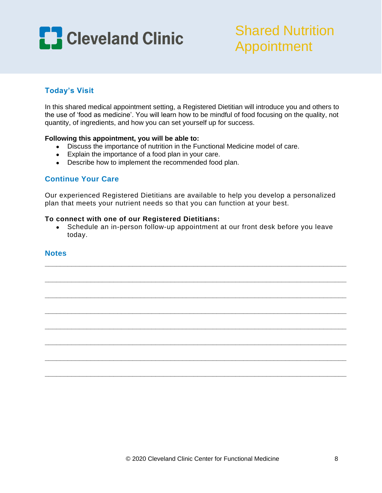

# Shared Nutrition Appointment

## **Today's Visit**

In this shared medical appointment setting, a Registered Dietitian will introduce you and others to the use of 'food as medicine'. You will learn how to be mindful of food focusing on the quality, not quantity, of ingredients, and how you can set yourself up for success.

### **Following this appointment, you will be able to:**

- Discuss the importance of nutrition in the Functional Medicine model of care.
- Explain the importance of a food plan in your care.
- Describe how to implement the recommended food plan.

## **Continue Your Care**

Our experienced Registered Dietitians are available to help you develop a personalized plan that meets your nutrient needs so that you can function at your best.

### **To connect with one of our Registered Dietitians:**

• Schedule an in-person follow-up appointment at our front desk before you leave today.

**\_\_\_\_\_\_\_\_\_\_\_\_\_\_\_\_\_\_\_\_\_\_\_\_\_\_\_\_\_\_\_\_\_\_\_\_\_\_\_\_\_\_\_\_\_\_\_\_\_\_\_\_\_\_\_\_\_\_\_\_\_\_\_\_\_\_\_\_\_\_\_\_\_\_\_\_\_\_\_**

**\_\_\_\_\_\_\_\_\_\_\_\_\_\_\_\_\_\_\_\_\_\_\_\_\_\_\_\_\_\_\_\_\_\_\_\_\_\_\_\_\_\_\_\_\_\_\_\_\_\_\_\_\_\_\_\_\_\_\_\_\_\_\_\_\_\_\_\_\_\_\_\_\_\_\_\_\_\_\_**

**\_\_\_\_\_\_\_\_\_\_\_\_\_\_\_\_\_\_\_\_\_\_\_\_\_\_\_\_\_\_\_\_\_\_\_\_\_\_\_\_\_\_\_\_\_\_\_\_\_\_\_\_\_\_\_\_\_\_\_\_\_\_\_\_\_\_\_\_\_\_\_\_\_\_\_\_\_\_\_**

**\_\_\_\_\_\_\_\_\_\_\_\_\_\_\_\_\_\_\_\_\_\_\_\_\_\_\_\_\_\_\_\_\_\_\_\_\_\_\_\_\_\_\_\_\_\_\_\_\_\_\_\_\_\_\_\_\_\_\_\_\_\_\_\_\_\_\_\_\_\_\_\_\_\_\_\_\_\_\_**

**\_\_\_\_\_\_\_\_\_\_\_\_\_\_\_\_\_\_\_\_\_\_\_\_\_\_\_\_\_\_\_\_\_\_\_\_\_\_\_\_\_\_\_\_\_\_\_\_\_\_\_\_\_\_\_\_\_\_\_\_\_\_\_\_\_\_\_\_\_\_\_\_\_\_\_\_\_\_\_**

**\_\_\_\_\_\_\_\_\_\_\_\_\_\_\_\_\_\_\_\_\_\_\_\_\_\_\_\_\_\_\_\_\_\_\_\_\_\_\_\_\_\_\_\_\_\_\_\_\_\_\_\_\_\_\_\_\_\_\_\_\_\_\_\_\_\_\_\_\_\_\_\_\_\_\_\_\_\_\_**

**\_\_\_\_\_\_\_\_\_\_\_\_\_\_\_\_\_\_\_\_\_\_\_\_\_\_\_\_\_\_\_\_\_\_\_\_\_\_\_\_\_\_\_\_\_\_\_\_\_\_\_\_\_\_\_\_\_\_\_\_\_\_\_\_\_\_\_\_\_\_\_\_\_\_\_\_\_\_\_**

**\_\_\_\_\_\_\_\_\_\_\_\_\_\_\_\_\_\_\_\_\_\_\_\_\_\_\_\_\_\_\_\_\_\_\_\_\_\_\_\_\_\_\_\_\_\_\_\_\_\_\_\_\_\_\_\_\_\_\_\_\_\_\_\_\_\_\_\_\_\_\_\_\_\_\_\_\_\_\_**

### **Notes**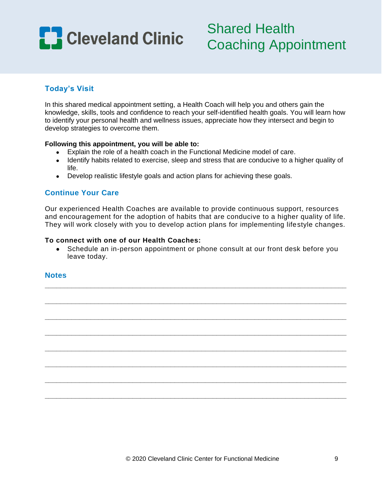

## **Today's Visit**

In this shared medical appointment setting, a Health Coach will help you and others gain the knowledge, skills, tools and confidence to reach your self-identified health goals. You will learn how to identify your personal health and wellness issues, appreciate how they intersect and begin to develop strategies to overcome them.

### **Following this appointment, you will be able to:**

- Explain the role of a health coach in the Functional Medicine model of care.
- Identify habits related to exercise, sleep and stress that are conducive to a higher quality of life.
- Develop realistic lifestyle goals and action plans for achieving these goals.

## **Continue Your Care**

Our experienced Health Coaches are available to provide continuous support, resources and encouragement for the adoption of habits that are conducive to a higher quality of life. They will work closely with you to develop action plans for implementing lifestyle changes.

### **To connect with one of our Health Coaches:**

 Schedule an in-person appointment or phone consult at our front desk before you leave today.

**\_\_\_\_\_\_\_\_\_\_\_\_\_\_\_\_\_\_\_\_\_\_\_\_\_\_\_\_\_\_\_\_\_\_\_\_\_\_\_\_\_\_\_\_\_\_\_\_\_\_\_\_\_\_\_\_\_\_\_\_\_\_\_\_\_\_\_\_\_\_\_\_\_\_\_\_\_\_\_**

**\_\_\_\_\_\_\_\_\_\_\_\_\_\_\_\_\_\_\_\_\_\_\_\_\_\_\_\_\_\_\_\_\_\_\_\_\_\_\_\_\_\_\_\_\_\_\_\_\_\_\_\_\_\_\_\_\_\_\_\_\_\_\_\_\_\_\_\_\_\_\_\_\_\_\_\_\_\_\_**

**\_\_\_\_\_\_\_\_\_\_\_\_\_\_\_\_\_\_\_\_\_\_\_\_\_\_\_\_\_\_\_\_\_\_\_\_\_\_\_\_\_\_\_\_\_\_\_\_\_\_\_\_\_\_\_\_\_\_\_\_\_\_\_\_\_\_\_\_\_\_\_\_\_\_\_\_\_\_\_**

**\_\_\_\_\_\_\_\_\_\_\_\_\_\_\_\_\_\_\_\_\_\_\_\_\_\_\_\_\_\_\_\_\_\_\_\_\_\_\_\_\_\_\_\_\_\_\_\_\_\_\_\_\_\_\_\_\_\_\_\_\_\_\_\_\_\_\_\_\_\_\_\_\_\_\_\_\_\_\_**

**\_\_\_\_\_\_\_\_\_\_\_\_\_\_\_\_\_\_\_\_\_\_\_\_\_\_\_\_\_\_\_\_\_\_\_\_\_\_\_\_\_\_\_\_\_\_\_\_\_\_\_\_\_\_\_\_\_\_\_\_\_\_\_\_\_\_\_\_\_\_\_\_\_\_\_\_\_\_\_**

**\_\_\_\_\_\_\_\_\_\_\_\_\_\_\_\_\_\_\_\_\_\_\_\_\_\_\_\_\_\_\_\_\_\_\_\_\_\_\_\_\_\_\_\_\_\_\_\_\_\_\_\_\_\_\_\_\_\_\_\_\_\_\_\_\_\_\_\_\_\_\_\_\_\_\_\_\_\_\_**

**\_\_\_\_\_\_\_\_\_\_\_\_\_\_\_\_\_\_\_\_\_\_\_\_\_\_\_\_\_\_\_\_\_\_\_\_\_\_\_\_\_\_\_\_\_\_\_\_\_\_\_\_\_\_\_\_\_\_\_\_\_\_\_\_\_\_\_\_\_\_\_\_\_\_\_\_\_\_\_**

**\_\_\_\_\_\_\_\_\_\_\_\_\_\_\_\_\_\_\_\_\_\_\_\_\_\_\_\_\_\_\_\_\_\_\_\_\_\_\_\_\_\_\_\_\_\_\_\_\_\_\_\_\_\_\_\_\_\_\_\_\_\_\_\_\_\_\_\_\_\_\_\_\_\_\_\_\_\_\_**

### **Notes**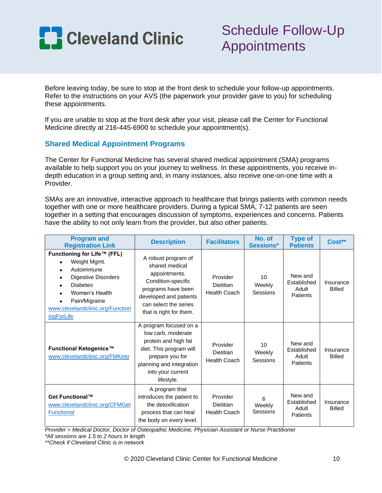

# Schedule Follow-Up Appointments

Before leaving today, be sure to stop at the front desk to schedule your follow-up appointments. Refer to the instructions on your AVS (the paperwork your provider gave to you) for scheduling these appointments.

If you are unable to stop at the front desk after your visit, please call the Center for Functional Medicine directly at 216-445-6900 to schedule your appointment(s).

## **Shared Medical Appointment Programs**

The Center for Functional Medicine has several shared medical appointment (SMA) programs available to help support you on your journey to wellness. In these appointments, you receive indepth education in a group setting and, in many instances, also receive one-on-one time with a Provider.

SMAs are an innovative, interactive approach to healthcare that brings patients with common needs together with one or more healthcare providers. During a typical SMA, 7-12 patients are seen together in a setting that encourages discussion of symptoms, experiences and concerns. Patients have the ability to not only learn from the provider, but also other patients.

| <b>Program and</b><br><b>Registration Link</b>                                                                                                                                                               | <b>Description</b>                                                                                                                                                                | <b>Facilitators</b>                                 | No. of<br>Sessions*                   | <b>Type of</b><br><b>Patients</b>           | Cost**                     |
|--------------------------------------------------------------------------------------------------------------------------------------------------------------------------------------------------------------|-----------------------------------------------------------------------------------------------------------------------------------------------------------------------------------|-----------------------------------------------------|---------------------------------------|---------------------------------------------|----------------------------|
| Functioning for Life™ (FFL)<br>Weight Mgmt.<br>Autoimmune<br>Digestive Disorders<br><b>Diabetes</b><br>Women's Health<br>Pain/Migraine<br>$\bullet$<br>www.clevelandclinic.org/Function<br><i>ingForLife</i> | A robust program of<br>shared medical<br>appointments.<br>Condition-specific<br>programs have been<br>developed and patients<br>can select the series<br>that is right for them.  | Provider<br><b>Dietitian</b><br><b>Health Coach</b> | 10 <sup>1</sup><br>Weekly<br>Sessions | New and<br>Established<br>Adult<br>Patients | Insurance<br><b>Billed</b> |
| Functional Ketogenics™<br>www.clevelandclinic.org/FMKeto                                                                                                                                                     | A program focused on a<br>low carb, moderate<br>protein and high fat<br>diet. This program will<br>prepare you for<br>planning and integration<br>into your current<br>lifestyle. | Provider<br><b>Dietitian</b><br><b>Health Coach</b> | 10<br>Weekly<br>Sessions              | New and<br>Established<br>Adult<br>Patients | Insurance<br><b>Billed</b> |
| Get Functional™<br>www.clevelandclinic.org/CFMGet<br><b>Functional</b>                                                                                                                                       | A program that<br>introduces the patient to<br>the detoxification<br>process that can heal<br>the body on every level.                                                            | Provider<br><b>Dietitian</b><br><b>Health Coach</b> | 6<br>Weekly<br>Sessions               | New and<br>Established<br>Adult<br>Patients | Insurance<br><b>Billed</b> |

*Provider = Medical Doctor, Doctor of Osteopathic Medicine, Physician Assistant or Nurse Practitioner*

*\*All sessions are 1.5 to 2 hours in length*

*\*\*Check if Cleveland Clinic is in network*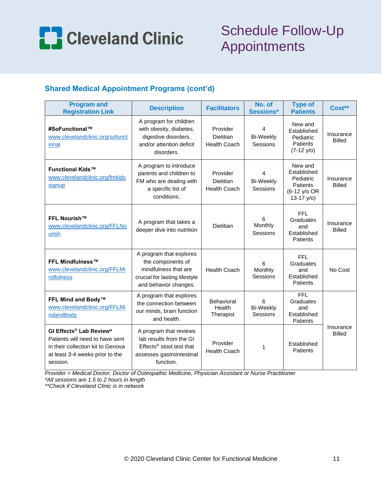

# Schedule Follow-Up Appointments

## **Shared Medical Appointment Programs (cont'd)**

| <b>Program and</b><br><b>Registration Link</b>                                                                                                             | <b>Description</b>                                                                                                                  | <b>Facilitators</b>                                 | No. of<br>Sessions*               | <b>Type of</b><br><b>Patients</b>                                                    | Cost**                     |
|------------------------------------------------------------------------------------------------------------------------------------------------------------|-------------------------------------------------------------------------------------------------------------------------------------|-----------------------------------------------------|-----------------------------------|--------------------------------------------------------------------------------------|----------------------------|
| #SoFunctional™<br>www.clevelandclinic.org/sofunct<br>ional                                                                                                 | A program for children<br>with obesity, diabetes,<br>digestive disorders,<br>and/or attention deficit<br>disorders.                 | Provider<br><b>Dietitian</b><br><b>Health Coach</b> | 4<br><b>Bi-Weekly</b><br>Sessions | New and<br>Established<br>Pediatric<br><b>Patients</b><br>$(7-12 y/o)$               | Insurance<br><b>Billed</b> |
| <b>Functional Kids™</b><br>www.clevelandclinic.org/fmkids<br>signup                                                                                        | A program to introduce<br>parents and children to<br>FM who are dealing with<br>a specific list of<br>conditions.                   | Provider<br><b>Dietitian</b><br><b>Health Coach</b> | 4<br><b>Bi-Weekly</b><br>Sessions | New and<br>Established<br>Pediatric<br><b>Patients</b><br>(6-12 y/o OR<br>13-17 y/o) | Insurance<br><b>Billed</b> |
| <b>FFL Nourish™</b><br>www.clevelandclinic.org/FFLNo<br>urish                                                                                              | A program that takes a<br>deeper dive into nutrition                                                                                | <b>Dietitian</b>                                    | 6<br>Monthly<br>Sessions          | <b>FFL</b><br>Graduates<br>and<br>Established<br>Patients                            | Insurance<br><b>Billed</b> |
| <b>FFL Mindfulness™</b><br>www.clevelandclinic.org/FFLMi<br>ndfulness                                                                                      | A program that explores<br>the components of<br>mindfulness that are<br>crucial for lasting lifestyle<br>and behavior changes.      | <b>Health Coach</b>                                 | 6<br>Monthly<br>Sessions          | <b>FFL</b><br>Graduates<br>and<br>Established<br>Patients                            | No Cost                    |
| FFL Mind and Body™<br>www.clevelandclinic.org/FFLMi<br>ndandBody                                                                                           | A program that explores<br>the connection between<br>our minds, brain function<br>and health.                                       | Behavioral<br>Health<br>Therapist                   | 6<br><b>Bi-Weekly</b><br>Sessions | <b>FFL</b><br>Graduates<br>and<br>Established<br>Patients                            |                            |
| GI Effects <sup>®</sup> Lab Review*<br>Patients will need to have sent<br>in their collection kit to Genova<br>at least 3-4 weeks prior to the<br>session. | A program that reviews<br>lab results from the GI<br>Effects <sup>®</sup> stool test that<br>assesses gastrointestinal<br>function. | Provider<br><b>Health Coach</b>                     | 1                                 | Established<br>Patients                                                              | Insurance<br><b>Billed</b> |

*Provider = Medical Doctor, Doctor of Osteopathic Medicine, Physician Assistant or Nurse Practitioner*

*\*All sessions are 1.5 to 2 hours in length*

*\*\*Check if Cleveland Clinic is in network*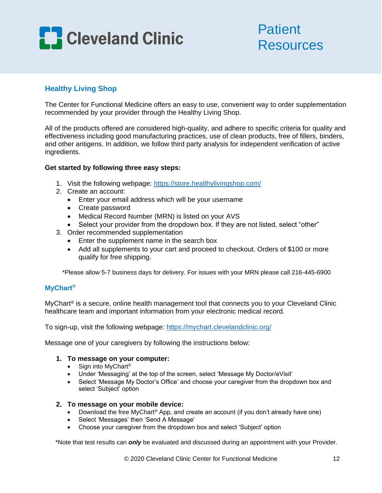

## **Patient** Resources

## **Healthy Living Shop**

The Center for Functional Medicine offers an easy to use, convenient way to order supplementation recommended by your provider through the Healthy Living Shop.

All of the products offered are considered high-quality, and adhere to specific criteria for quality and effectiveness including good manufacturing practices, use of clean products, free of fillers, binders, and other antigens. In addition, we follow third party analysis for independent verification of active ingredients.

### **Get started by following three easy steps:**

- 1. Visit the following webpage:<https://store.healthylivingshop.com/>
- 2. Create an account:
	- Enter your email address which will be your username
	- Create password
	- Medical Record Number (MRN) is listed on your AVS
	- Select your provider from the dropdown box. If they are not listed, select "other"
- 3. Order recommended supplementation
	- Enter the supplement name in the search box
	- Add all supplements to your cart and proceed to checkout. Orders of \$100 or more qualify for free shipping.

\*Please allow 5-7 business days for delivery. For issues with your MRN please call 216-445-6900

## **MyChart®**

MyChart® is a secure, online health management tool that connects you to your Cleveland Clinic healthcare team and important information from your electronic medical record.

To sign-up, visit the following webpage:<https://mychart.clevelandclinic.org/>

Message one of your caregivers by following the instructions below:

### **1. To message on your computer:**

- Sign into MyChart®
- Under 'Messaging' at the top of the screen, select 'Message My Doctor/eVisit'
- Select 'Message My Doctor's Office' and choose your caregiver from the dropdown box and select 'Subject' option

### **2. To message on your mobile device:**

- Download the free MyChart® App, and create an account (if you don't already have one)
- Select 'Messages' then 'Send A Message'
- Choose your caregiver from the dropdown box and select 'Subject' option

\*Note that test results can *only* be evaluated and discussed during an appointment with your Provider.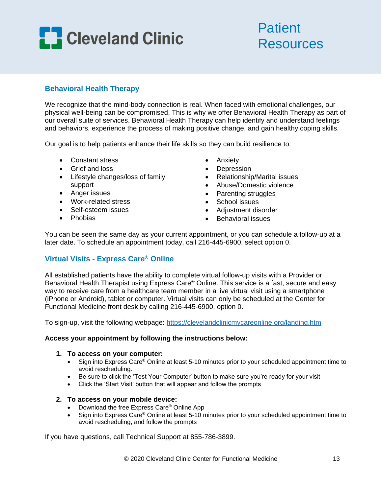

# Patient **Resources**

## **Behavioral Health Therapy**

We recognize that the mind-body connection is real. When faced with emotional challenges, our physical well-being can be compromised. This is why we offer Behavioral Health Therapy as part of our overall suite of services. Behavioral Health Therapy can help identify and understand feelings and behaviors, experience the process of making positive change, and gain healthy coping skills.

Our goal is to help patients enhance their life skills so they can build resilience to:

- Constant stress
- Grief and loss
- Lifestyle changes/loss of family support
- Anger issues
- Work-related stress
- Self-esteem issues
- Phobias
- Anxiety
- Depression
- Relationship/Marital issues
- Abuse/Domestic violence
- Parenting struggles
- School issues
- Adjustment disorder
- Behavioral issues

You can be seen the same day as your current appointment, or you can schedule a follow-up at a later date. To schedule an appointment today, call 216-445-6900, select option 0.

## **Virtual Visits - Express Care® Online**

All established patients have the ability to complete virtual follow-up visits with a Provider or Behavioral Health Therapist using Express Care® Online. This service is a fast, secure and easy way to receive care from a healthcare team member in a live virtual visit using a smartphone (iPhone or Android), tablet or computer. Virtual visits can only be scheduled at the Center for Functional Medicine front desk by calling 216-445-6900, option 0.

To sign-up, visit the following webpage:<https://clevelandclinicmycareonline.org/landing.htm>

### **Access your appointment by following the instructions below:**

### **1. To access on your computer:**

- Sign into Express Care® Online at least 5-10 minutes prior to your scheduled appointment time to avoid rescheduling.
- Be sure to click the 'Test Your Computer' button to make sure you're ready for your visit
- Click the 'Start Visit' button that will appear and follow the prompts

### **2. To access on your mobile device:**

- Download the free Express Care® Online App
- Sign into Express Care® Online at least 5-10 minutes prior to your scheduled appointment time to avoid rescheduling, and follow the prompts

If you have questions, call Technical Support at 855-786-3899.